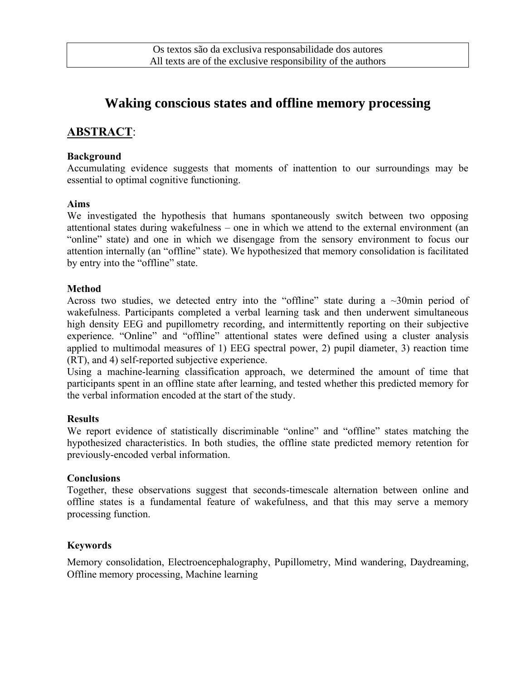# **Waking conscious states and offline memory processing**

## **ABSTRACT**:

#### **Background**

Accumulating evidence suggests that moments of inattention to our surroundings may be essential to optimal cognitive functioning.

#### **Aims**

We investigated the hypothesis that humans spontaneously switch between two opposing attentional states during wakefulness – one in which we attend to the external environment (an "online" state) and one in which we disengage from the sensory environment to focus our attention internally (an "offline" state). We hypothesized that memory consolidation is facilitated by entry into the "offline" state.

#### **Method**

Across two studies, we detected entry into the "offline" state during a  $\sim 30$  min period of wakefulness. Participants completed a verbal learning task and then underwent simultaneous high density EEG and pupillometry recording, and intermittently reporting on their subjective experience. "Online" and "offline" attentional states were defined using a cluster analysis applied to multimodal measures of 1) EEG spectral power, 2) pupil diameter, 3) reaction time (RT), and 4) self-reported subjective experience.

Using a machine-learning classification approach, we determined the amount of time that participants spent in an offline state after learning, and tested whether this predicted memory for the verbal information encoded at the start of the study.

#### **Results**

We report evidence of statistically discriminable "online" and "offline" states matching the hypothesized characteristics. In both studies, the offline state predicted memory retention for previously-encoded verbal information.

#### **Conclusions**

Together, these observations suggest that seconds-timescale alternation between online and offline states is a fundamental feature of wakefulness, and that this may serve a memory processing function.

#### **Keywords**

Memory consolidation, Electroencephalography, Pupillometry, Mind wandering, Daydreaming, Offline memory processing, Machine learning